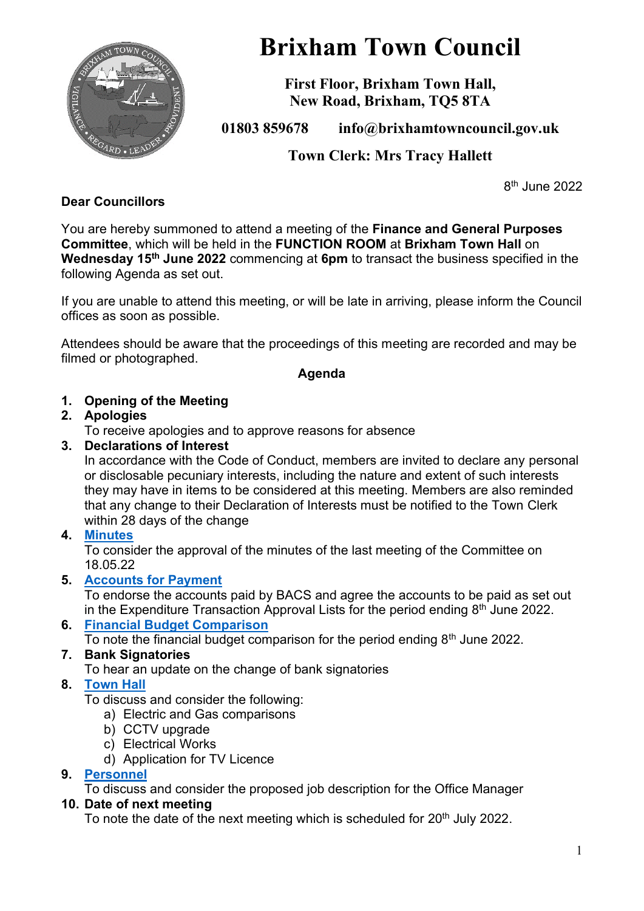

# **Brixham Town Council**

**First Floor, Brixham Town Hall, New Road, Brixham, TQ5 8TA**

**01803 859678 info@brixhamtowncouncil.gov.uk**

**Town Clerk: Mrs Tracy Hallett**

8 th June 2022

# **Dear Councillors**

You are hereby summoned to attend a meeting of the **Finance and General Purposes Committee**, which will be held in the **FUNCTION ROOM** at **Brixham Town Hall** on **Wednesday 15th June 2022** commencing at **6pm** to transact the business specified in the following Agenda as set out.

If you are unable to attend this meeting, or will be late in arriving, please inform the Council offices as soon as possible.

Attendees should be aware that the proceedings of this meeting are recorded and may be filmed or photographed.

#### **Agenda**

# **1. Opening of the Meeting**

# **2. Apologies**

To receive apologies and to approve reasons for absence

# **3. Declarations of Interest**

In accordance with the Code of Conduct, members are invited to declare any personal or disclosable pecuniary interests, including the nature and extent of such interests they may have in items to be considered at this meeting. Members are also reminded that any change to their Declaration of Interests must be notified to the Town Clerk within 28 days of the change

# **4. [Minutes](https://brixhamtowncouncil.sharepoint.com/:b:/g/Ee-hkYVReoJOt6vmRyAZSQUBK1fyjHfJQT2cIHEGedum-Q?e=cBcPHc)**

To consider the approval of the minutes of the last meeting of the Committee on 18.05.22

# **5. [Accounts for Payment](https://brixhamtowncouncil.sharepoint.com/:b:/g/EYK4gS4981dKtlZVtIQ3D5kBTfXQGw9FaJt8ZAVWhRHiqA?e=0HebPf)**

To endorse the accounts paid by BACS and agree the accounts to be paid as set out in the Expenditure Transaction Approval Lists for the period ending  $8<sup>th</sup>$  June 2022.

**6. [Financial Budget Comparison](https://brixhamtowncouncil.sharepoint.com/:b:/g/EYK4gS4981dKtlZVtIQ3D5kBTfXQGw9FaJt8ZAVWhRHiqA?e=0HebPf)** To note the financial budget comparison for the period ending  $8<sup>th</sup>$  June 2022.

# **7. Bank Signatories**

To hear an update on the change of bank signatories

# **8. [Town Hall](https://brixhamtowncouncil.sharepoint.com/:b:/g/EQ1ix_PDR6BPr9j1BpPbV1AB8Dxf5u6ln4CFCIbGhzkTdQ?e=dUfOfS)**

To discuss and consider the following:

- a) Electric and Gas comparisons
- b) CCTV upgrade
- c) Electrical Works

d) Application for TV Licence

# **9. [Personnel](https://brixhamtowncouncil.sharepoint.com/:b:/g/EVKPOszwXI5LoxBHLYTx1ocBxALoWUPWL56h6Ng6XdGfNg?e=6XyUbH)**

To discuss and consider the proposed job description for the Office Manager

# **10. Date of next meeting**

To note the date of the next meeting which is scheduled for 20<sup>th</sup> July 2022.